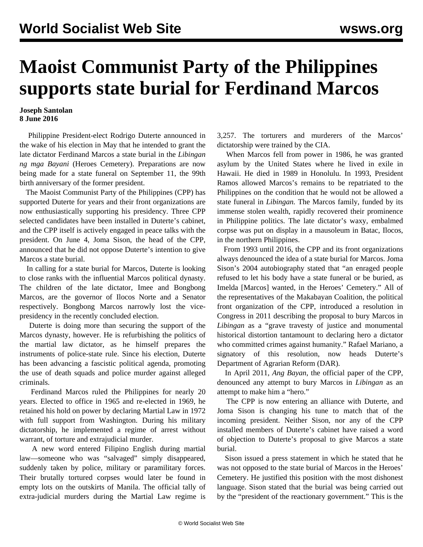## **Maoist Communist Party of the Philippines supports state burial for Ferdinand Marcos**

## **Joseph Santolan 8 June 2016**

 Philippine President-elect Rodrigo Duterte announced in the wake of his election in May that he intended to grant the late dictator Ferdinand Marcos a state burial in the *Libingan ng mga Bayani* (Heroes Cemetery). Preparations are now being made for a state funeral on September 11, the 99th birth anniversary of the former president.

 The Maoist Communist Party of the Philippines (CPP) has supported Duterte for years and their front organizations are now enthusiastically supporting his presidency. Three CPP selected candidates have been installed in Duterte's cabinet, and the CPP itself is actively engaged in peace talks with the president. On June 4, Joma Sison, the head of the CPP, announced that he did not oppose Duterte's intention to give Marcos a state burial.

 In calling for a state burial for Marcos, Duterte is looking to close ranks with the influential Marcos political dynasty. The children of the late dictator, Imee and Bongbong Marcos, are the governor of Ilocos Norte and a Senator respectively. Bongbong Marcos narrowly lost the vicepresidency in the recently concluded election.

 Duterte is doing more than securing the support of the Marcos dynasty, however. He is refurbishing the politics of the martial law dictator, as he himself prepares the instruments of police-state rule. Since his election, Duterte has been advancing a fascistic political agenda, promoting the use of death squads and police murder against alleged criminals.

 Ferdinand Marcos ruled the Philippines for nearly 20 years. Elected to office in 1965 and re-elected in 1969, he retained his hold on power by declaring Martial Law in 1972 with full support from Washington. During his military dictatorship, he implemented a regime of arrest without warrant, of torture and extrajudicial murder.

 A new word entered Filipino English during martial law—someone who was "salvaged" simply disappeared, suddenly taken by police, military or paramilitary forces. Their brutally tortured corpses would later be found in empty lots on the outskirts of Manila. The official tally of extra-judicial murders during the Martial Law regime is 3,257. The torturers and murderers of the Marcos' dictatorship were trained by the CIA.

 When Marcos fell from power in 1986, he was granted asylum by the United States where he lived in exile in Hawaii. He died in 1989 in Honolulu. In 1993, President Ramos allowed Marcos's remains to be repatriated to the Philippines on the condition that he would not be allowed a state funeral in *Libingan.* The Marcos family, funded by its immense stolen wealth, rapidly recovered their prominence in Philippine politics. The late dictator's waxy, embalmed corpse was put on display in a mausoleum in Batac, Ilocos, in the northern Philippines.

 From 1993 until 2016, the CPP and its front organizations always denounced the idea of a state burial for Marcos. Joma Sison's 2004 autobiography stated that "an enraged people refused to let his body have a state funeral or be buried, as Imelda [Marcos] wanted, in the Heroes' Cemetery." All of the representatives of the Makabayan Coalition, the political front organization of the CPP, introduced a resolution in Congress in 2011 describing the proposal to bury Marcos in *Libingan* as a "grave travesty of justice and monumental historical distortion tantamount to declaring hero a dictator who committed crimes against humanity." Rafael Mariano, a signatory of this resolution, now heads Duterte's Department of Agrarian Reform (DAR).

 In April 2011, *Ang Bayan*, the official paper of the CPP, denounced any attempt to bury Marcos in *Libingan* as an attempt to make him a "hero."

 The CPP is now entering an alliance with Duterte, and Joma Sison is changing his tune to match that of the incoming president. Neither Sison, nor any of the CPP installed members of Duterte's cabinet have raised a word of objection to Duterte's proposal to give Marcos a state burial.

 Sison issued a press statement in which he stated that he was not opposed to the state burial of Marcos in the Heroes' Cemetery. He justified this position with the most dishonest language. Sison stated that the burial was being carried out by the "president of the reactionary government." This is the